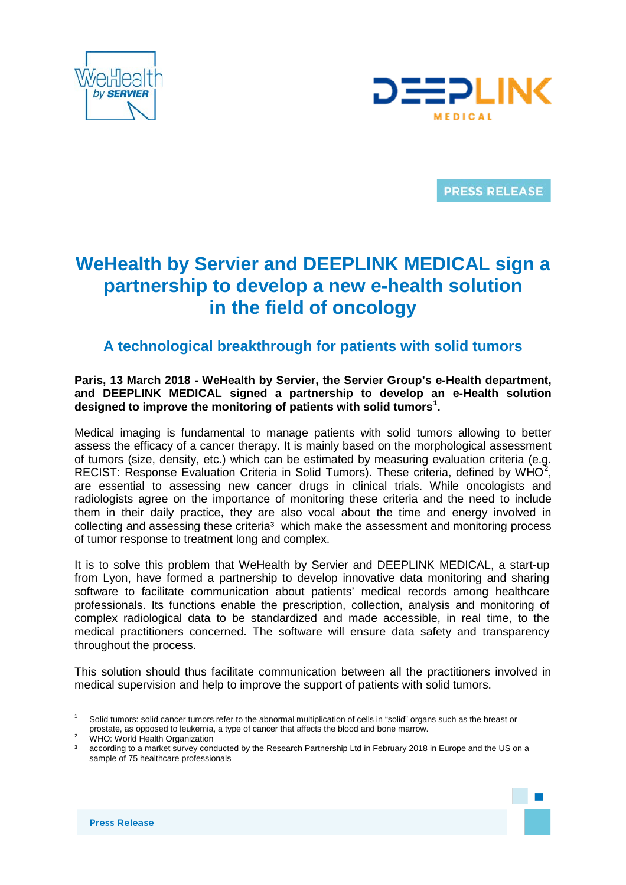



**PRESS RELEASE** 

# **WeHealth by Servier and DEEPLINK MEDICAL sign a partnership to develop a new e-health solution in the field of oncology**

## **A technological breakthrough for patients with solid tumors**

## **Paris, 13 March 2018 - WeHealth by Servier, the Servier Group's e-Health department, and DEEPLINK MEDICAL signed a partnership to develop an e-Health solution designed to improve the monitoring of patients with solid tumors[1](#page-0-0) .**

Medical imaging is fundamental to manage patients with solid tumors allowing to better assess the efficacy of a cancer therapy. It is mainly based on the morphological assessment of tumors (size, density, etc.) which can be estimated by measuring evaluation criteria (e.g. RECIST: Response Evaluation Criteria in Solid Tumors). These criteria, defined by WHO<sup>[2](#page-0-1)</sup>, are essential to assessing new cancer drugs in clinical trials. While oncologists and radiologists agree on the importance of monitoring these criteria and the need to include them in their daily practice, they are also vocal about the time and energy involved in collecting and assessing these criteria<sup>3</sup> which make the assessment and monitoring process of tumor response to treatment long and complex.

It is to solve this problem that WeHealth by Servier and DEEPLINK MEDICAL, a start-up from Lyon, have formed a partnership to develop innovative data monitoring and sharing software to facilitate communication about patients' medical records among healthcare professionals. Its functions enable the prescription, collection, analysis and monitoring of complex radiological data to be standardized and made accessible, in real time, to the medical practitioners concerned. The software will ensure data safety and transparency throughout the process.

This solution should thus facilitate communication between all the practitioners involved in medical supervision and help to improve the support of patients with solid tumors.



<span id="page-0-0"></span>Solid tumors: solid cancer tumors refer to the abnormal multiplication of cells in "solid" organs such as the breast or prostate, as opposed to leukemia, a type of cancer that affects the blood and bone marrow.<br>WHO: World Health Organization

<span id="page-0-1"></span>

according to a market survey conducted by the Research Partnership Ltd in February 2018 in Europe and the US on a sample of 75 healthcare professionals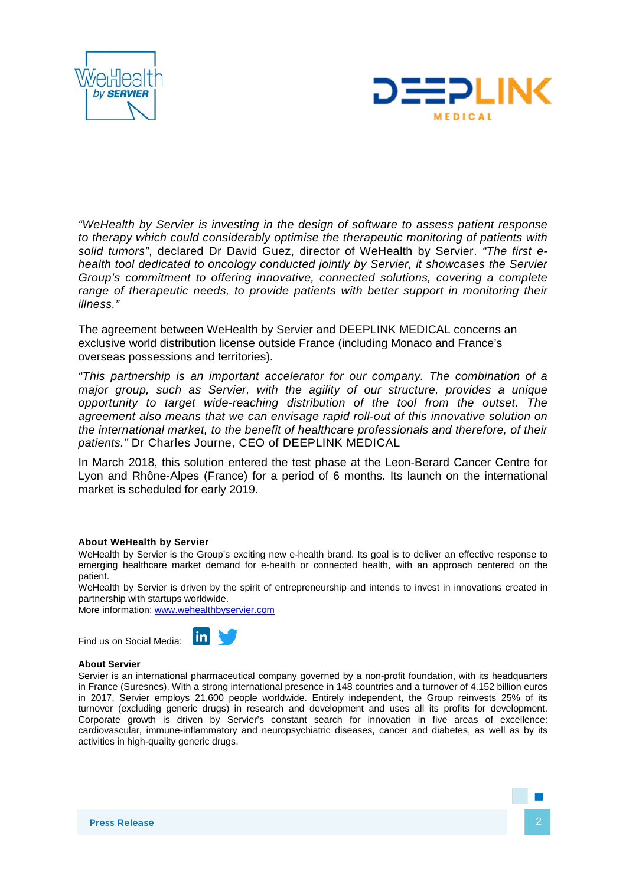



*"WeHealth by Servier is investing in the design of software to assess patient response to therapy which could considerably optimise the therapeutic monitoring of patients with solid tumors"*, declared Dr David Guez, director of WeHealth by Servier. *"The first ehealth tool dedicated to oncology conducted jointly by Servier, it showcases the Servier Group's commitment to offering innovative, connected solutions, covering a complete range of therapeutic needs, to provide patients with better support in monitoring their illness."*

The agreement between WeHealth by Servier and DEEPLINK MEDICAL concerns an exclusive world distribution license outside France (including Monaco and France's overseas possessions and territories).

*"This partnership is an important accelerator for our company. The combination of a major group, such as Servier, with the agility of our structure, provides a unique opportunity to target wide-reaching distribution of the tool from the outset. The agreement also means that we can envisage rapid roll-out of this innovative solution on the international market, to the benefit of healthcare professionals and therefore, of their patients."* Dr Charles Journe, CEO of DEEPLINK MEDICAL

In March 2018, this solution entered the test phase at the Leon-Berard Cancer Centre for Lyon and Rhône-Alpes (France) for a period of 6 months. Its launch on the international market is scheduled for early 2019.

#### **About WeHealth by Servier**

WeHealth by Servier is the Group's exciting new e-health brand. Its goal is to deliver an effective response to emerging healthcare market demand for e-health or connected health, with an approach centered on the patient.

WeHealth by Servier is driven by the spirit of entrepreneurship and intends to invest in innovations created in partnership with startups worldwide.

More information: www.wehealthbyservier.com

 $\mathbf{in}$ 

Find us on Social Media:



Servier is an international pharmaceutical company governed by a non-profit foundation, with its headquarters in France (Suresnes). With a strong international presence in 148 countries and a turnover of 4.152 billion euros in 2017, Servier employs 21,600 people worldwide. Entirely independent, the Group reinvests 25% of its turnover (excluding generic drugs) in research and development and uses all its profits for development. Corporate growth is driven by Servier's constant search for innovation in five areas of excellence: cardiovascular, immune-inflammatory and neuropsychiatric diseases, cancer and diabetes, as well as by its activities in high-quality generic drugs.